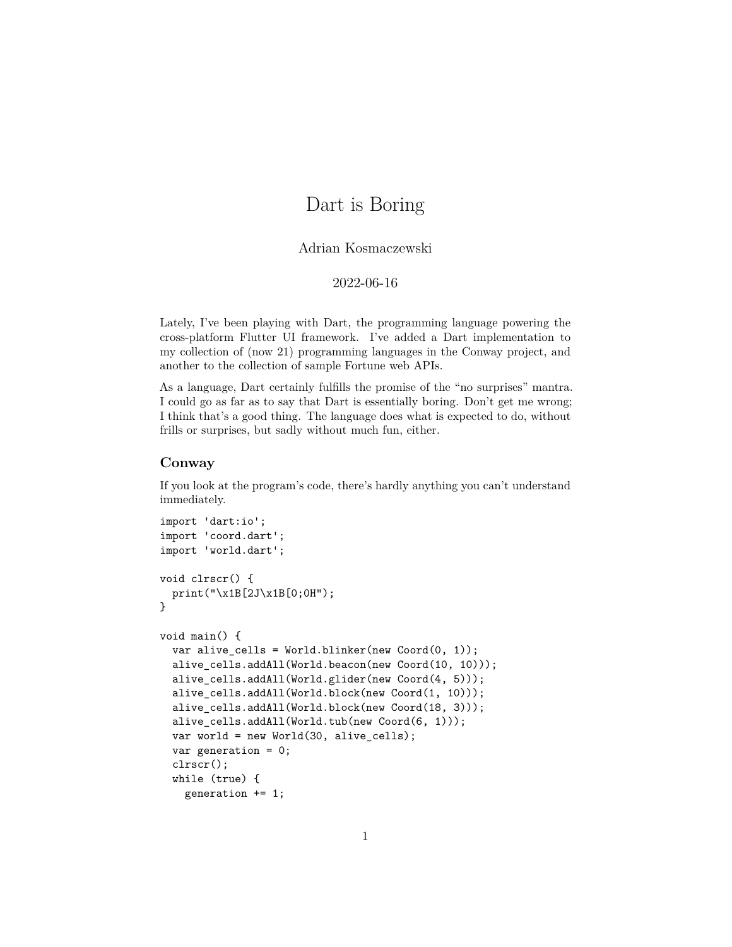## Dart is Boring

Adrian Kosmaczewski

2022-06-16

<span id="page-0-0"></span>Lately, I've been playing with [Dart](https://dart.dev/), the programming language powering the cross-platform [Flutter](https://flutter.dev/) UI framework. I've added a [Dart implementation](https://gitlab.com/akosma/Conway/-/tree/master/Dart) to my collection of (now 21) programming languages in the Conway project, and [another](https://gitlab.com/vshn/applications/fortune-dart) to the collection of sample Fortune web APIs.

As a language, Dart certainly fulfills the promise of the "no surprises" mantra. I could go as far as to say that Dart is essentially boring. Don't get me wrong; I think that's a good thing. The language does what is expected to do, without frills or surprises, but sadly without much fun, either.

## **Conway**

If you look at the [program's code,](https://gitlab.com/akosma/Conway/-/blob/master/Dart/src/conway.dart) there's hardly anything you can't understand immediately.

```
import 'dart:io';
import 'coord.dart';
import 'world.dart';
void clrscr() {
 print("\x1B[2J\x1B[0;0H");
}
void main() {
  var alive_cells = World.blinker(new Coord(0, 1));
 alive_cells.addAll(World.beacon(new Coord(10, 10)));
  alive_cells.addAll(World.glider(new Coord(4, 5)));
  alive_cells.addAll(World.block(new Coord(1, 10)));
  alive_cells.addAll(World.block(new Coord(18, 3)));
  alive_cells.addAll(World.tub(new Coord(6, 1)));
 var world = new World(30, alive_cells);
  var generation = 0;
  clrscr();
  while (true) {
    generation += 1;
```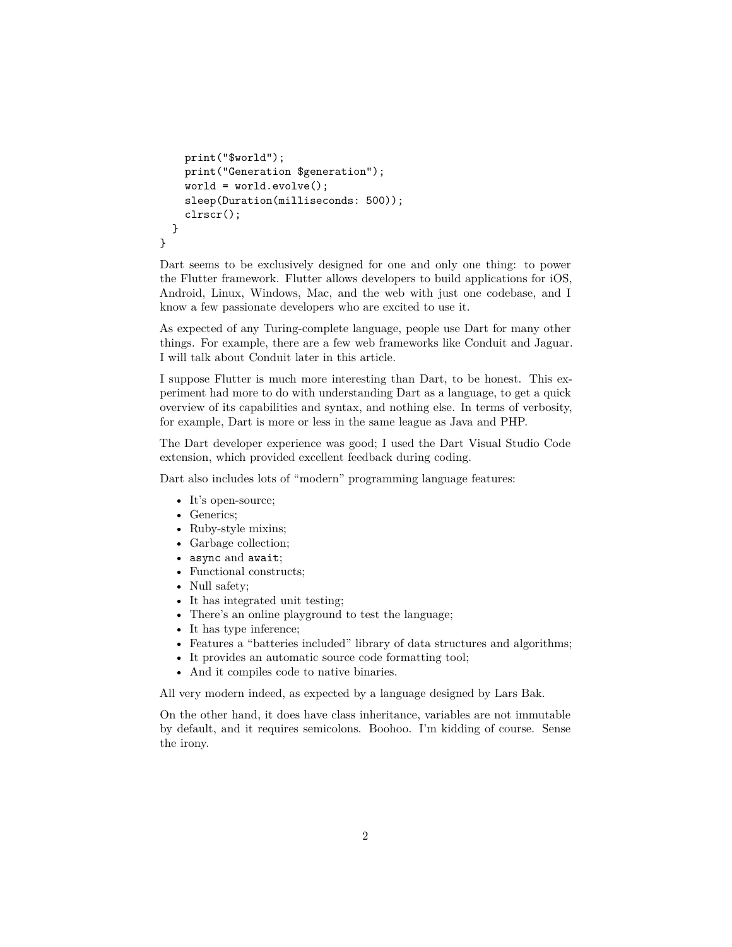```
print("$world");
   print("Generation $generation");
    word = world.event();sleep(Duration(milliseconds: 500));
    clrscr();
 }
}
```
Dart seems to be exclusively designed for one and only one thing: to power the [Flutter](https://flutter.dev/) framework. Flutter allows developers to build applications for iOS, Android, Linux, Windows, Mac, and the web with just one codebase, and I know a few passionate developers who are excited to use it.

As expected of any Turing-complete language, people use Dart [for many other](https://github.com/yissachar/awesome-dart) [things](https://github.com/yissachar/awesome-dart). For example, there are a few web frameworks like [Conduit](https://www.theconduit.dev/) and [Jaguar.](https://github.com/Jaguar-dart/jaguar) I will talk about Conduit later in this article.

I suppose Flutter is much more interesting than Dart, to be honest. This experiment had more to do with understanding Dart as a language, to get a quick overview of its capabilities and syntax, and nothing else. In terms of verbosity, for example, Dart is more or less in the same league as Java and PHP.

The Dart developer experience was good; I used the [Dart Visual Studio Code](https://marketplace.visualstudio.com/items?itemName=Dart-Code.dart-code) [extension,](https://marketplace.visualstudio.com/items?itemName=Dart-Code.dart-code) which provided excellent feedback during coding.

Dart also includes lots of ["modern"](https://deprogrammaticaipsum.com/the-great-rewriting-in-rust/) programming language features:

- It's [open-source](https://github.com/dart-lang);
- Generics;
- Ruby-style mixins;
- Garbage collection;
- async and await;
- Functional constructs;
- [Null safety;](https://dart.dev/null-safety)
- It has integrated unit testing;
- There's an [online playground](https://dart.dev/tools/dartpad) to test the language;
- It has type inference;
- Features a "batteries included" library of data structures and algorithms;
- It provides an automatic source code formatting tool;
- And it compiles code to native binaries.

All very modern indeed, as expected by a language designed by [Lars Bak.](https://en.wikipedia.org/wiki/Lars_Bak_(computer_programmer))

On the other hand, it does have class inheritance, variables are not immutable by default, and it requires semicolons. Boohoo. I'm kidding of course. Sense the irony.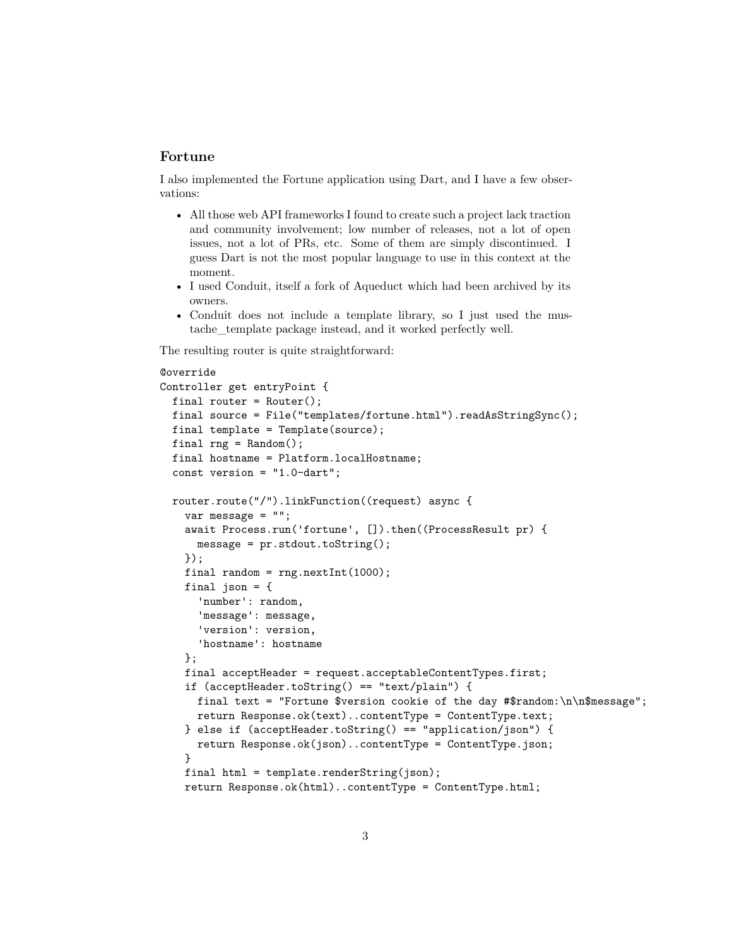## **Fortune**

I also implemented the [Fortune application using Dart,](https://gitlab.com/vshn/applications/fortune-dart) and I have a few observations:

- All those web API frameworks I found to create such a project lack traction and community involvement; low number of releases, not a lot of open issues, not a lot of PRs, etc. Some of them are simply discontinued. I guess Dart is not the most popular language to use in this context at the moment.
- I used [Conduit](https://www.theconduit.dev/), itself a fork of [Aqueduct](https://aqueduct.io/) which had been [archived](https://github.com/stablekernel/aqueduct) by its owners.
- Conduit does not include a template library, so I just used the [mus](https://pub.dev/packages/mustache_template)[tache\\_template](https://pub.dev/packages/mustache_template) package instead, and it worked perfectly well.

The resulting [router](https://gitlab.com/vshn/applications/fortune-dart/-/blob/master/lib/channel.dart) is quite straightforward:

```
@override
Controller get entryPoint {
 final router = Router();
 final source = File("templates/fortune.html").readAsStringSync();
 final template = Template(source);
 final rng = Random();
 final hostname = Platform.localHostname;
  const version = "1.0-dart";
 router.route("/").linkFunction((request) async {
   var message = "";
    await Process.run('fortune', []).then((ProcessResult pr) {
     message = pr.stdout.toString();
   });
   final random = rng.nextInt(1000);
    final json = \{'number': random,
      'message': message,
      'version': version,
      'hostname': hostname
    };
    final acceptHeader = request.acceptableContentTypes.first;
    if (acceptHeader.toString() == "text/plain") {
      final text = "Fortune $version cookie of the day #$random:\n\n$message";
      return Response.ok(text)..contentType = ContentType.text;
   } else if (acceptHeader.toString() == "application/json") {
      return Response.ok(json)..contentType = ContentType.json;
    }
    final html = template.randomString(json);return Response.ok(html)..contentType = ContentType.html;
```